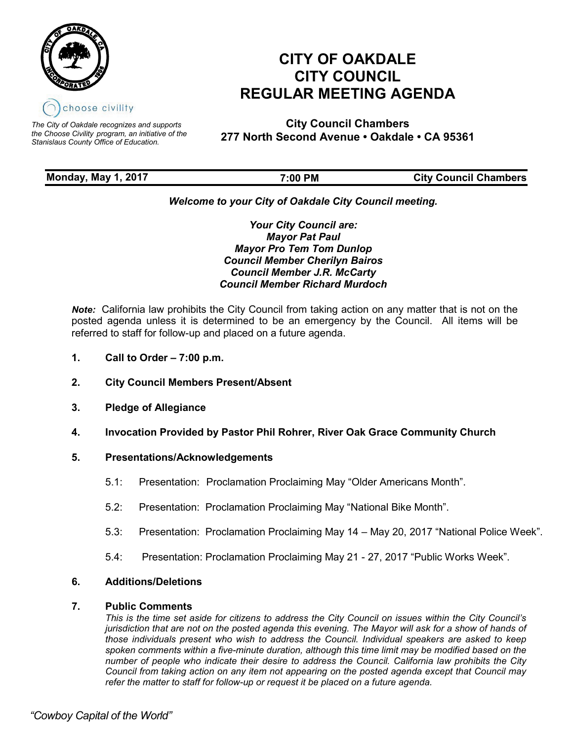

*The City of Oakdale recognizes and supports the Choose Civility program, an initiative of the Stanislaus County Office of Education.*

# **CITY OF OAKDALE CITY COUNCIL REGULAR MEETING AGENDA**

**City Council Chambers 277 North Second Avenue • Oakdale • CA 95361** 

| <b>Monday, May 1, 2017</b> | 7:00 PM | <b>City Council Chambers</b> |
|----------------------------|---------|------------------------------|
|                            |         |                              |

# *Welcome to your City of Oakdale City Council meeting.*

*Your City Council are: Mayor Pat Paul Mayor Pro Tem Tom Dunlop Council Member Cherilyn Bairos Council Member J.R. McCarty Council Member Richard Murdoch*

*Note:* California law prohibits the City Council from taking action on any matter that is not on the posted agenda unless it is determined to be an emergency by the Council. All items will be referred to staff for follow-up and placed on a future agenda.

- **1. Call to Order 7:00 p.m.**
- **2. City Council Members Present/Absent**
- **3. Pledge of Allegiance**
- **4. Invocation Provided by Pastor Phil Rohrer, River Oak Grace Community Church**

## **5. Presentations/Acknowledgements**

- 5.1: Presentation: Proclamation Proclaiming May "Older Americans Month".
- 5.2: Presentation: Proclamation Proclaiming May "National Bike Month".
- 5.3: Presentation: Proclamation Proclaiming May 14 May 20, 2017 "National Police Week".
- 5.4: Presentation: Proclamation Proclaiming May 21 27, 2017 "Public Works Week".

## **6. Additions/Deletions**

### **7. Public Comments**

*This is the time set aside for citizens to address the City Council on issues within the City Council's jurisdiction that are not on the posted agenda this evening. The Mayor will ask for a show of hands of those individuals present who wish to address the Council. Individual speakers are asked to keep spoken comments within a five-minute duration, although this time limit may be modified based on the number of people who indicate their desire to address the Council. California law prohibits the City Council from taking action on any item not appearing on the posted agenda except that Council may refer the matter to staff for follow-up or request it be placed on a future agenda.*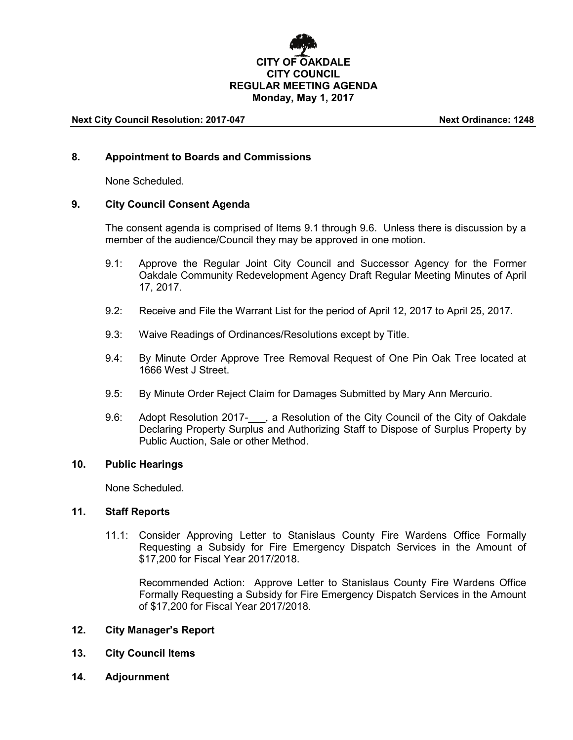# **CITY OF OAKDALE CITY COUNCIL REGULAR MEETING AGENDA Monday, May 1, 2017**

#### **Next City Council Resolution: 2017-047 Next Ordinance: 1248**

#### **8. Appointment to Boards and Commissions**

None Scheduled.

### **9. City Council Consent Agenda**

The consent agenda is comprised of Items 9.1 through 9.6. Unless there is discussion by a member of the audience/Council they may be approved in one motion.

- 9.1: Approve the Regular Joint City Council and Successor Agency for the Former Oakdale Community Redevelopment Agency Draft Regular Meeting Minutes of April 17, 2017.
- 9.2: Receive and File the Warrant List for the period of April 12, 2017 to April 25, 2017.
- 9.3: Waive Readings of Ordinances/Resolutions except by Title.
- 9.4: By Minute Order Approve Tree Removal Request of One Pin Oak Tree located at 1666 West J Street.
- 9.5: By Minute Order Reject Claim for Damages Submitted by Mary Ann Mercurio.
- 9.6: Adopt Resolution 2017-<sub>1,</sub> a Resolution of the City Council of the City of Oakdale Declaring Property Surplus and Authorizing Staff to Dispose of Surplus Property by Public Auction, Sale or other Method.

#### **10. Public Hearings**

None Scheduled.

#### **11. Staff Reports**

11.1: Consider Approving Letter to Stanislaus County Fire Wardens Office Formally Requesting a Subsidy for Fire Emergency Dispatch Services in the Amount of \$17,200 for Fiscal Year 2017/2018.

Recommended Action: Approve Letter to Stanislaus County Fire Wardens Office Formally Requesting a Subsidy for Fire Emergency Dispatch Services in the Amount of \$17,200 for Fiscal Year 2017/2018.

#### **12. City Manager's Report**

- **13. City Council Items**
- **14. Adjournment**